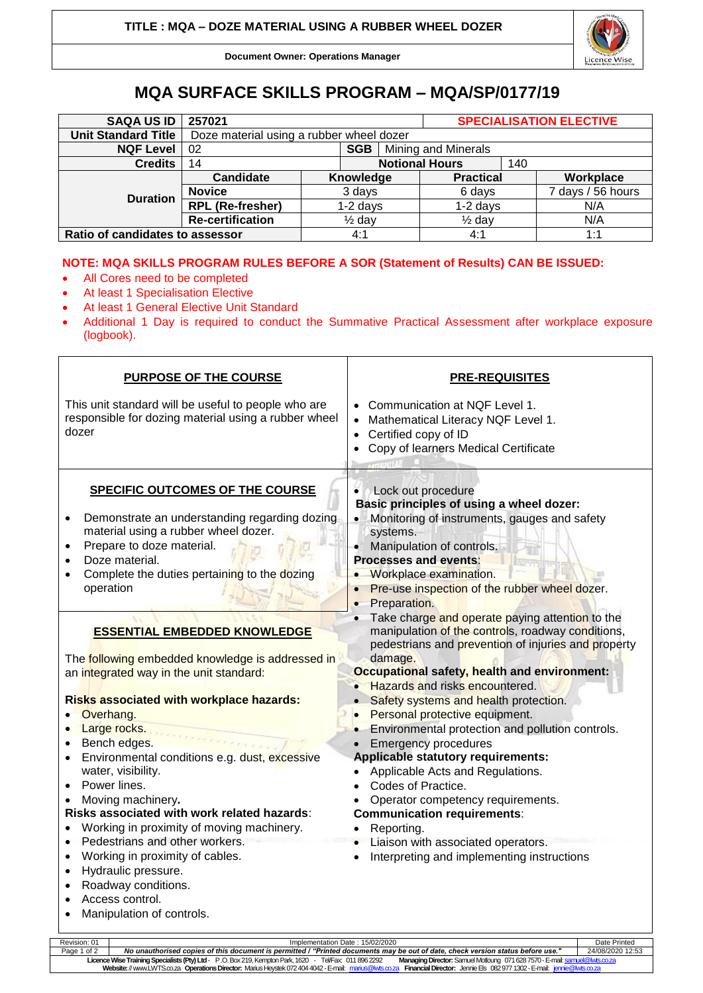

**Document Owner: Operations Manager**

## **MQA SURFACE SKILLS PROGRAM – MQA/SP/0177/19**

| <b>SAQA US ID</b>               | 257021                                   |                   |           |                       | <b>SPECIALISATION ELECTIVE</b> |     |                   |
|---------------------------------|------------------------------------------|-------------------|-----------|-----------------------|--------------------------------|-----|-------------------|
| <b>Unit Standard Title</b>      | Doze material using a rubber wheel dozer |                   |           |                       |                                |     |                   |
| <b>NQF Level</b>                | <b>SGB</b><br>02                         |                   |           | Mining and Minerals   |                                |     |                   |
| <b>Credits</b>                  | 14                                       |                   |           | <b>Notional Hours</b> |                                | 140 |                   |
|                                 | Candidate                                |                   | Knowledge |                       | <b>Practical</b>               |     | Workplace         |
| <b>Duration</b>                 | <b>Novice</b>                            | 3 days            |           |                       | 6 days                         |     | 7 days / 56 hours |
|                                 | <b>RPL (Re-fresher)</b>                  | $1-2$ days        |           |                       | $1-2$ days                     |     | N/A               |
|                                 | <b>Re-certification</b>                  | $\frac{1}{2}$ day |           |                       | $\frac{1}{2}$ day              |     | N/A               |
| Ratio of candidates to assessor |                                          |                   | 4:1       |                       | 4:1                            |     | 1:1               |

## **NOTE: MQA SKILLS PROGRAM RULES BEFORE A SOR (Statement of Results) CAN BE ISSUED:**

- All Cores need to be completed
- At least 1 Specialisation Elective
- At least 1 General Elective Unit Standard
- Additional 1 Day is required to conduct the Summative Practical Assessment after workplace exposure (logbook).

| <b>PURPOSE OF THE COURSE</b>                                                                                                                                                                                                                                                                                                                                                                                                                                                                                                                                                                                                                                                                                                                                                                                                                                                                                                                                                                  | <b>PRE-REQUISITES</b>                                                                                                                                                                                                                                                                                                                                                                                                                                                                                                                                                                                                                                                                                                                                                                                                                                                                                                                                                                                                                                                              |
|-----------------------------------------------------------------------------------------------------------------------------------------------------------------------------------------------------------------------------------------------------------------------------------------------------------------------------------------------------------------------------------------------------------------------------------------------------------------------------------------------------------------------------------------------------------------------------------------------------------------------------------------------------------------------------------------------------------------------------------------------------------------------------------------------------------------------------------------------------------------------------------------------------------------------------------------------------------------------------------------------|------------------------------------------------------------------------------------------------------------------------------------------------------------------------------------------------------------------------------------------------------------------------------------------------------------------------------------------------------------------------------------------------------------------------------------------------------------------------------------------------------------------------------------------------------------------------------------------------------------------------------------------------------------------------------------------------------------------------------------------------------------------------------------------------------------------------------------------------------------------------------------------------------------------------------------------------------------------------------------------------------------------------------------------------------------------------------------|
| This unit standard will be useful to people who are<br>responsible for dozing material using a rubber wheel<br>dozer                                                                                                                                                                                                                                                                                                                                                                                                                                                                                                                                                                                                                                                                                                                                                                                                                                                                          | Communication at NQF Level 1.<br>Mathematical Literacy NQF Level 1.<br>Certified copy of ID<br>$\bullet$<br>Copy of learners Medical Certificate                                                                                                                                                                                                                                                                                                                                                                                                                                                                                                                                                                                                                                                                                                                                                                                                                                                                                                                                   |
| <b>SPECIFIC OUTCOMES OF THE COURSE</b><br>Demonstrate an understanding regarding dozing<br>material using a rubber wheel dozer.<br>Prepare to doze material.<br>Doze material.<br>Complete the duties pertaining to the dozing<br>operation<br><b>ESSENTIAL EMBEDDED KNOWLEDGE</b><br>The following embedded knowledge is addressed in<br>an integrated way in the unit standard:<br><b>Risks associated with workplace hazards:</b><br>Overhang.<br>Large rocks.<br>$\bullet$<br>Bench edges.<br>$\bullet$<br>Environmental conditions e.g. dust, excessive<br>$\bullet$<br>water, visibility.<br>Power lines.<br>Moving machinery.<br>Risks associated with work related hazards:<br>Working in proximity of moving machinery.<br>Pedestrians and other workers.<br>Working in proximity of cables.<br>$\bullet$<br>Hydraulic pressure.<br>$\bullet$<br>Roadway conditions.<br>$\bullet$<br>Access control.<br>Manipulation of controls.<br>Implementation Date: 15/02/2020<br>Revision: 01 | Lock out procedure<br>$\bullet$<br>Basic principles of using a wheel dozer:<br>Monitoring of instruments, gauges and safety<br>$\bullet$<br>systems.<br>Manipulation of controls.<br>٠<br><b>Processes and events:</b><br>Workplace examination.<br>Pre-use inspection of the rubber wheel dozer.<br>Preparation.<br>Take charge and operate paying attention to the<br>$\bullet$<br>manipulation of the controls, roadway conditions,<br>pedestrians and prevention of injuries and property<br>damage.<br><b>Occupational safety, health and environment:</b><br>• Hazards and risks encountered.<br>Safety systems and health protection.<br>Personal protective equipment.<br>$\bullet$<br>Environmental protection and pollution controls.<br><b>Emergency procedures</b><br><b>Applicable statutory requirements:</b><br>Applicable Acts and Regulations.<br>Codes of Practice.<br>Operator competency requirements.<br><b>Communication requirements:</b><br>Reporting.<br>Liaison with associated operators.<br>Interpreting and implementing instructions<br>Date Printed |

Revision: 01 Implementation Date : 15/02/2020 Date Printed Page 1 of 2 *No unauthorised copies of this document is permitted / "Printed documents may be out of date, check version status before use."* 24/08/2020 12:53 **Licence Wise Training Specialists (Pty) Ltd**- P .O. Box 219, Kempton Park, 1620 - Tel/Fax: 011 896 2292 **Managing Director:** Samuel Motloung 071628 7570 -E-mai[l: samuel@lwts.co.za](mailto:samuel@lwts.co.za)  **Website:**// www.LWTS.co.za **Operations Director:** Marius Heystek 072404 4042 -E-mail: [marius@lwts.co.za](mailto:marius@lwts.co.za) **Financial Director:** Jennie Els 082977 1302 -E-mail: [jennie@lwts.co.za](mailto:jennie@lwts.co.za)